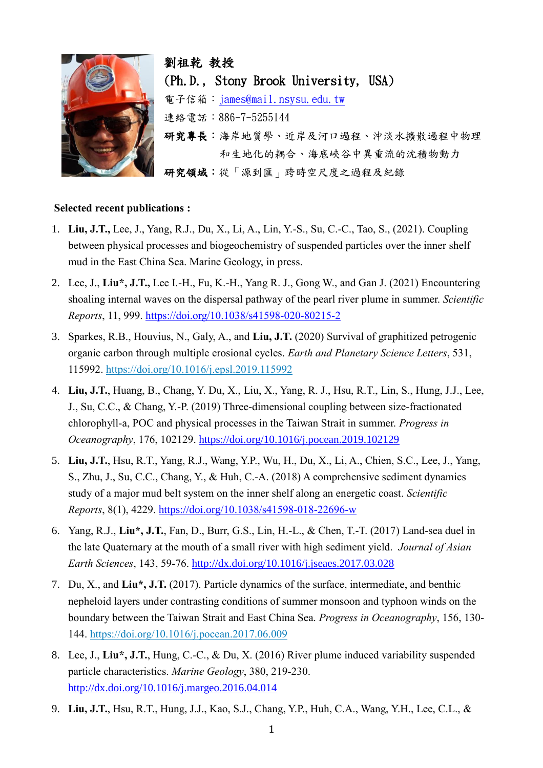

劉祖乾 教授 (Ph.D., Stony Brook University, USA) 電子信箱: [james@mail.nsysu.edu.tw](mailto:james@mail.nsysu.edu.tw) 連絡電話:886-7-5255144 研究專長:海岸地質學、近岸及河口過程、沖淡水擴散過程中物理 和生地化的耦合、海底峽谷中異重流的沈積物動力 研究領域:從「源到匯」跨時空尺度之過程及紀錄

## **Selected recent publications :**

- 1. **Liu, J.T.,** Lee, J., Yang, R.J., Du, X., Li, A., Lin, Y.-S., Su, C.-C., Tao, S., (2021). Coupling between physical processes and biogeochemistry of suspended particles over the inner shelf mud in the East China Sea. Marine Geology, in press.
- 2. Lee, J., **Liu\*, J.T.,** Lee I.-H., Fu, K.-H., Yang R. J., Gong W., and Gan J. (2021) Encountering shoaling internal waves on the dispersal pathway of the pearl river plume in summer. *Scientific Reports*, 11, 999.<https://doi.org/10.1038/s41598-020-80215-2>
- 3. Sparkes, R.B., Houvius, N., Galy, A., and **Liu, J.T.** (2020) Survival of graphitized petrogenic organic carbon through multiple erosional cycles. *Earth and Planetary Science Letters*, 531, 115992. <https://doi.org/10.1016/j.epsl.2019.115992>
- 4. **Liu, J.T.**, Huang, B., Chang, Y. Du, X., Liu, X., Yang, R. J., Hsu, R.T., Lin, S., Hung, J.J., Lee, J., Su, C.C., & Chang, Y.-P. (2019) Three-dimensional coupling between size-fractionated chlorophyll-a, POC and physical processes in the Taiwan Strait in summer. *Progress in Oceanography*, 176, 102129.<https://doi.org/10.1016/j.pocean.2019.102129>
- 5. **Liu, J.T.**, Hsu, R.T., Yang, R.J., Wang, Y.P., Wu, H., Du, X., Li, A., Chien, S.C., Lee, J., Yang, S., Zhu, J., Su, C.C., Chang, Y., & Huh, C.-A. (2018) A comprehensive sediment dynamics study of a major mud belt system on the inner shelf along an energetic coast. *Scientific Reports*, 8(1), 4229.<https://doi.org/10.1038/s41598-018-22696-w>
- 6. Yang, R.J., **Liu\*, J.T.**, Fan, D., Burr, G.S., Lin, H.-L., & Chen, T.-T. (2017) Land-sea duel in the late Quaternary at the mouth of a small river with high sediment yield. *Journal of Asian Earth Sciences*, 143, 59-76.<http://dx.doi.org/10.1016/j.jseaes.2017.03.028>
- 7. Du, X., and **Liu\*, J.T.** (2017). Particle dynamics of the surface, intermediate, and benthic nepheloid layers under contrasting conditions of summer monsoon and typhoon winds on the boundary between the Taiwan Strait and East China Sea. *Progress in Oceanography*, 156, 130- 144. <https://doi.org/10.1016/j.pocean.2017.06.009>
- 8. Lee, J., **Liu\*, J.T.**, Hung, C.-C., & Du, X. (2016) River plume induced variability suspended particle characteristics. *Marine Geology*, 380, 219-230. <http://dx.doi.org/10.1016/j.margeo.2016.04.014>
- 9. **Liu, J.T.**, Hsu, R.T., Hung, J.J., Kao, S.J., Chang, Y.P., Huh, C.A., Wang, Y.H., Lee, C.L., &